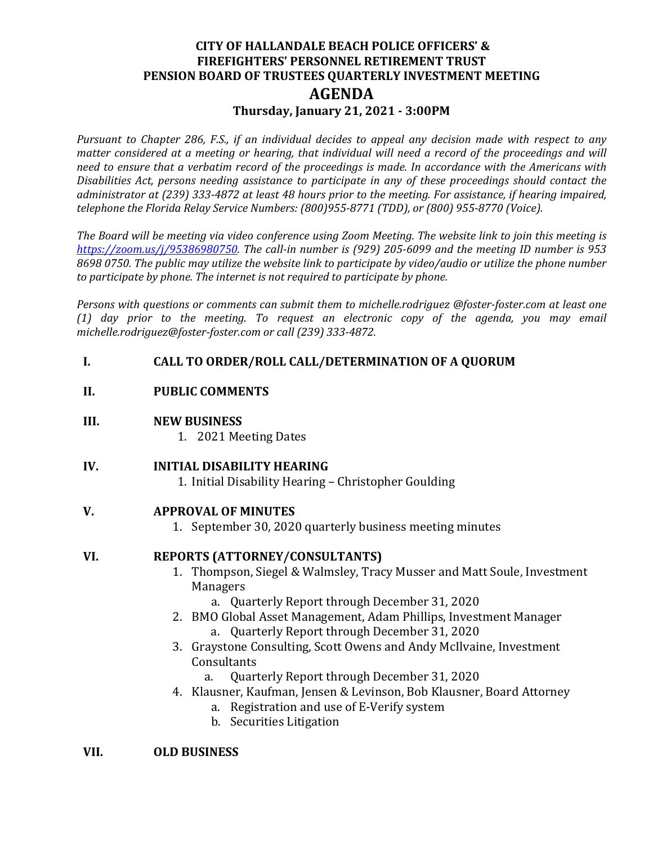# **CITY OF HALLANDALE BEACH POLICE OFFICERS' & FIREFIGHTERS' PERSONNEL RETIREMENT TRUST PENSION BOARD OF TRUSTEES QUARTERLY INVESTMENT MEETING AGENDA Thursday, January 21, 2021 - 3:00PM**

*Pursuant to Chapter 286, F.S., if an individual decides to appeal any decision made with respect to any matter considered at a meeting or hearing, that individual will need a record of the proceedings and will need to ensure that a verbatim record of the proceedings is made. In accordance with the Americans with Disabilities Act, persons needing assistance to participate in any of these proceedings should contact the administrator at (239) 333-4872 at least 48 hours prior to the meeting. For assistance, if hearing impaired, telephone the Florida Relay Service Numbers: (800)955-8771 (TDD), or (800) 955-8770 (Voice).* 

*The Board will be meeting via video conference using Zoom Meeting. The website link to join this meeting is [https://zoom.us/j/95386980750.](https://zoom.us/j/95386980750) The call-in number is (929) 205-6099 and the meeting ID number is 953 8698 0750. The public may utilize the website link to participate by video/audio or utilize the phone number to participate by phone. The internet is not required to participate by phone.*

*Persons with questions or comments can submit them to michelle.rodriguez @foster-foster.com at least one (1) day prior to the meeting. To request an electronic copy of the agenda, you may email michelle.rodriguez@foster-foster.com or call (239) 333-4872.* 

## **I. CALL TO ORDER/ROLL CALL/DETERMINATION OF A QUORUM**

## **II. PUBLIC COMMENTS**

#### **III. NEW BUSINESS**

1. 2021 Meeting Dates

## **IV. INITIAL DISABILITY HEARING**

1. Initial Disability Hearing – Christopher Goulding

#### **V. APPROVAL OF MINUTES**

1. September 30, 2020 quarterly business meeting minutes

#### **VI. REPORTS (ATTORNEY/CONSULTANTS)**

- 1. Thompson, Siegel & Walmsley, Tracy Musser and Matt Soule, Investment Managers
	- a. Quarterly Report through December 31, 2020
- 2. BMO Global Asset Management, Adam Phillips, Investment Manager a. Quarterly Report through December 31, 2020
- 3. Graystone Consulting, Scott Owens and Andy McIlvaine, Investment Consultants<br>a. Ouart
	- a. Quarterly Report through December 31, 2020
- 4. Klausner, Kaufman, Jensen & Levinson, Bob Klausner, Board Attorney
	- a. Registration and use of E-Verify system
	- b. Securities Litigation

### **VII. OLD BUSINESS**